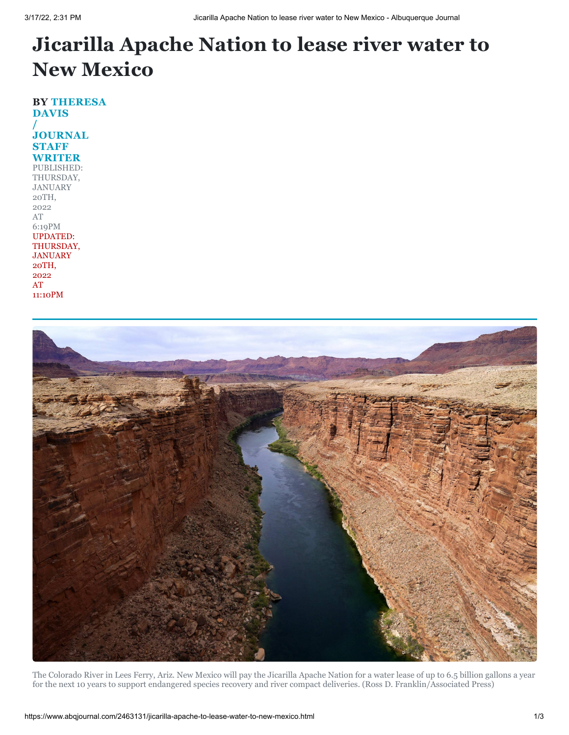## **Jicarilla Apache Nation to lease river water to New Mexico**

**BY THERESA DAVIS / [JOURNAL](https://www.abqjournal.com/author/tdavis) STAFF WRITER** PUBLISHED: THURSDAY, JANUARY 20TH, 2022 AT 6:19PM UPDATED: THURSDAY, JANUARY 20TH, 2022 AT 11:10PM



The Colorado River in Lees Ferry, Ariz. New Mexico will pay the Jicarilla Apache Nation for a water lease of up to 6.5 billion gallons a year for the next 10 years to support endangered species recovery and river compact deliveries. (Ross D. Franklin/Associated Press)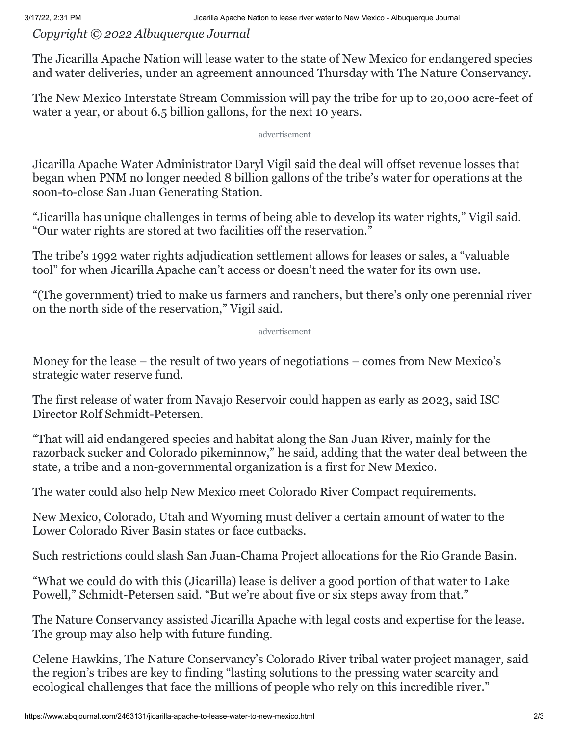## *Copyright © 2022 Albuquerque Journal*

The Jicarilla Apache Nation will lease water to the state of New Mexico for endangered species and water deliveries, under an agreement announced Thursday with The Nature Conservancy.

The New Mexico Interstate Stream Commission will pay the tribe for up to 20,000 acre-feet of water a year, or about 6.5 billion gallons, for the next 10 years.

advertisement

Jicarilla Apache Water Administrator Daryl Vigil said the deal will offset revenue losses that began when PNM no longer needed 8 billion gallons of the tribe's water for operations at the soon-to-close San Juan Generating Station.

"Jicarilla has unique challenges in terms of being able to develop its water rights," Vigil said. "Our water rights are stored at two facilities off the reservation."

The tribe's 1992 water rights adjudication settlement allows for leases or sales, a "valuable tool" for when Jicarilla Apache can't access or doesn't need the water for its own use.

"(The government) tried to make us farmers and ranchers, but there's only one perennial river on the north side of the reservation," Vigil said.

advertisement

Money for the lease – the result of two years of negotiations – comes from New Mexico's strategic water reserve fund.

The first release of water from Navajo Reservoir could happen as early as 2023, said ISC Director Rolf Schmidt-Petersen.

"That will aid endangered species and habitat along the San Juan River, mainly for the razorback sucker and Colorado pikeminnow," he said, adding that the water deal between the state, a tribe and a non-governmental organization is a first for New Mexico.

The water could also help New Mexico meet Colorado River Compact requirements.

New Mexico, Colorado, Utah and Wyoming must deliver a certain amount of water to the Lower Colorado River Basin states or face cutbacks.

Such restrictions could slash San Juan-Chama Project allocations for the Rio Grande Basin.

"What we could do with this (Jicarilla) lease is deliver a good portion of that water to Lake Powell," Schmidt-Petersen said. "But we're about five or six steps away from that."

The Nature Conservancy assisted Jicarilla Apache with legal costs and expertise for the lease. The group may also help with future funding.

Celene Hawkins, The Nature Conservancy's Colorado River tribal water project manager, said the region's tribes are key to finding "lasting solutions to the pressing water scarcity and ecological challenges that face the millions of people who rely on this incredible river."